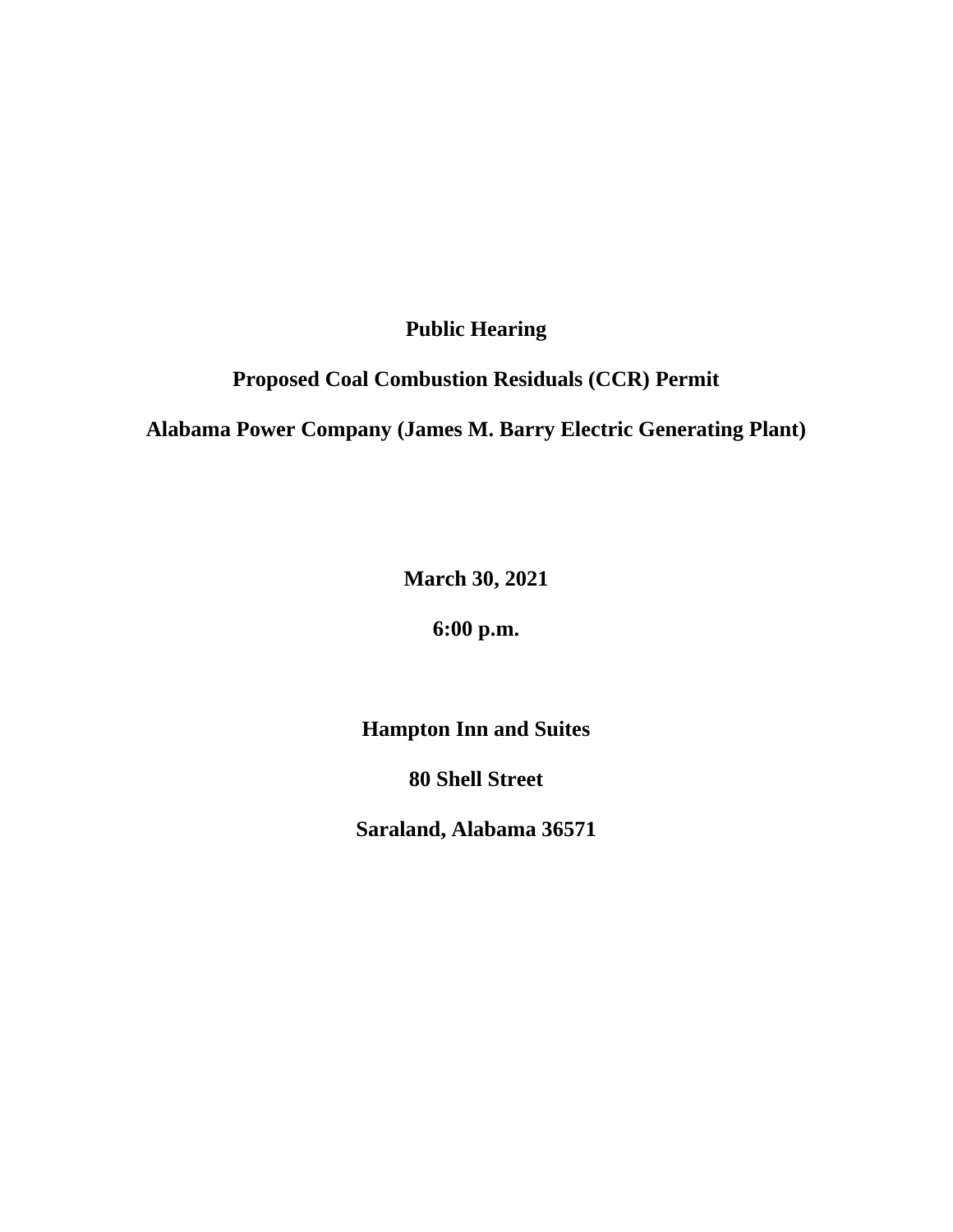**Public Hearing**

**Proposed Coal Combustion Residuals (CCR) Permit**

**Alabama Power Company (James M. Barry Electric Generating Plant)**

**March 30, 2021**

**6:00 p.m.**

**Hampton Inn and Suites**

**80 Shell Street**

**Saraland, Alabama 36571**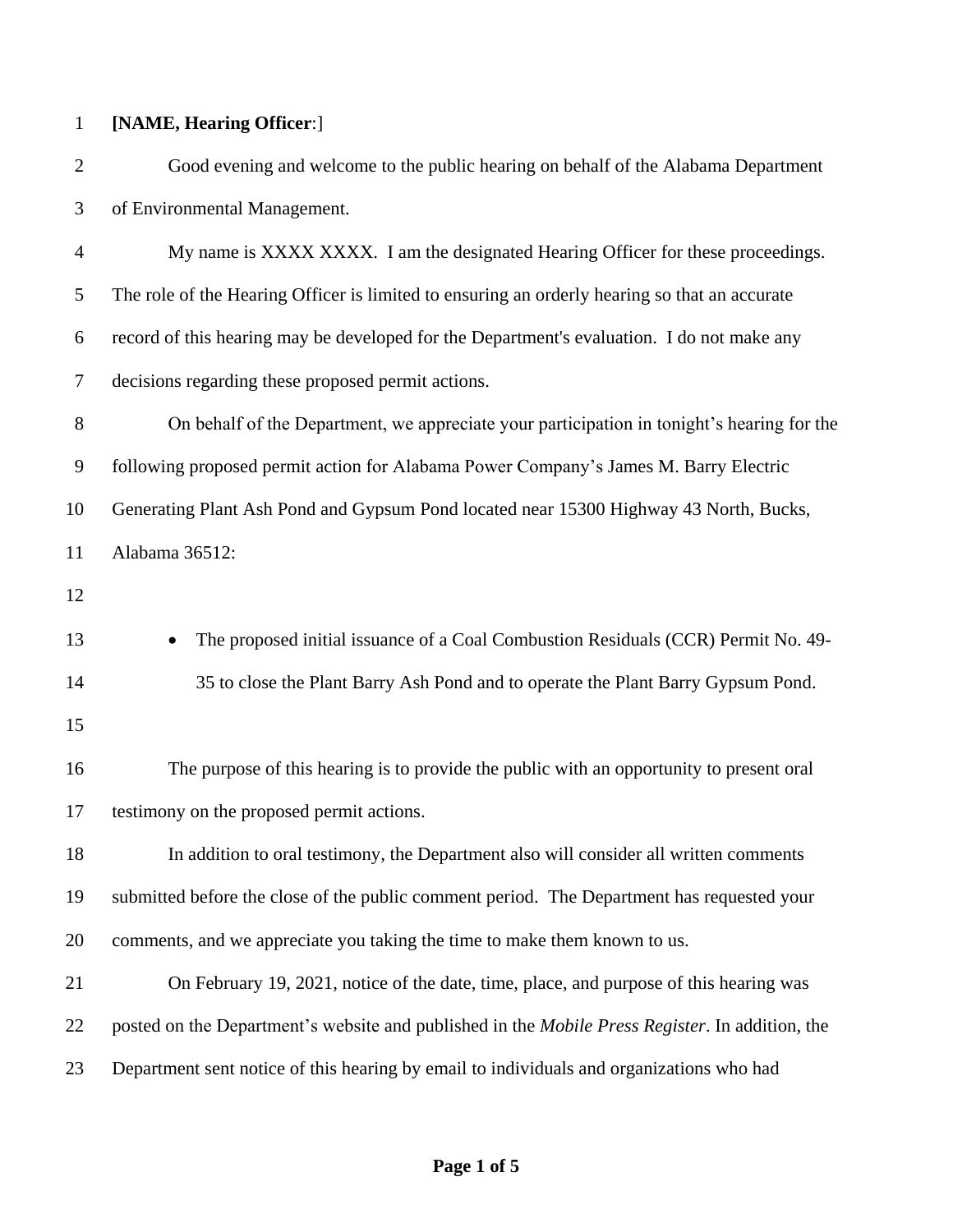## **[NAME, Hearing Officer**:]

 Good evening and welcome to the public hearing on behalf of the Alabama Department of Environmental Management.

 My name is XXXX XXXX. I am the designated Hearing Officer for these proceedings. The role of the Hearing Officer is limited to ensuring an orderly hearing so that an accurate record of this hearing may be developed for the Department's evaluation. I do not make any decisions regarding these proposed permit actions.

 On behalf of the Department, we appreciate your participation in tonight's hearing for the following proposed permit action for Alabama Power Company's James M. Barry Electric Generating Plant Ash Pond and Gypsum Pond located near 15300 Highway 43 North, Bucks, Alabama 36512:

**The proposed initial issuance of a Coal Combustion Residuals (CCR) Permit No. 49-**35 to close the Plant Barry Ash Pond and to operate the Plant Barry Gypsum Pond.

 The purpose of this hearing is to provide the public with an opportunity to present oral testimony on the proposed permit actions.

 In addition to oral testimony, the Department also will consider all written comments submitted before the close of the public comment period. The Department has requested your comments, and we appreciate you taking the time to make them known to us.

 On February 19, 2021, notice of the date, time, place, and purpose of this hearing was posted on the Department's website and published in the *Mobile Press Register*. In addition, the Department sent notice of this hearing by email to individuals and organizations who had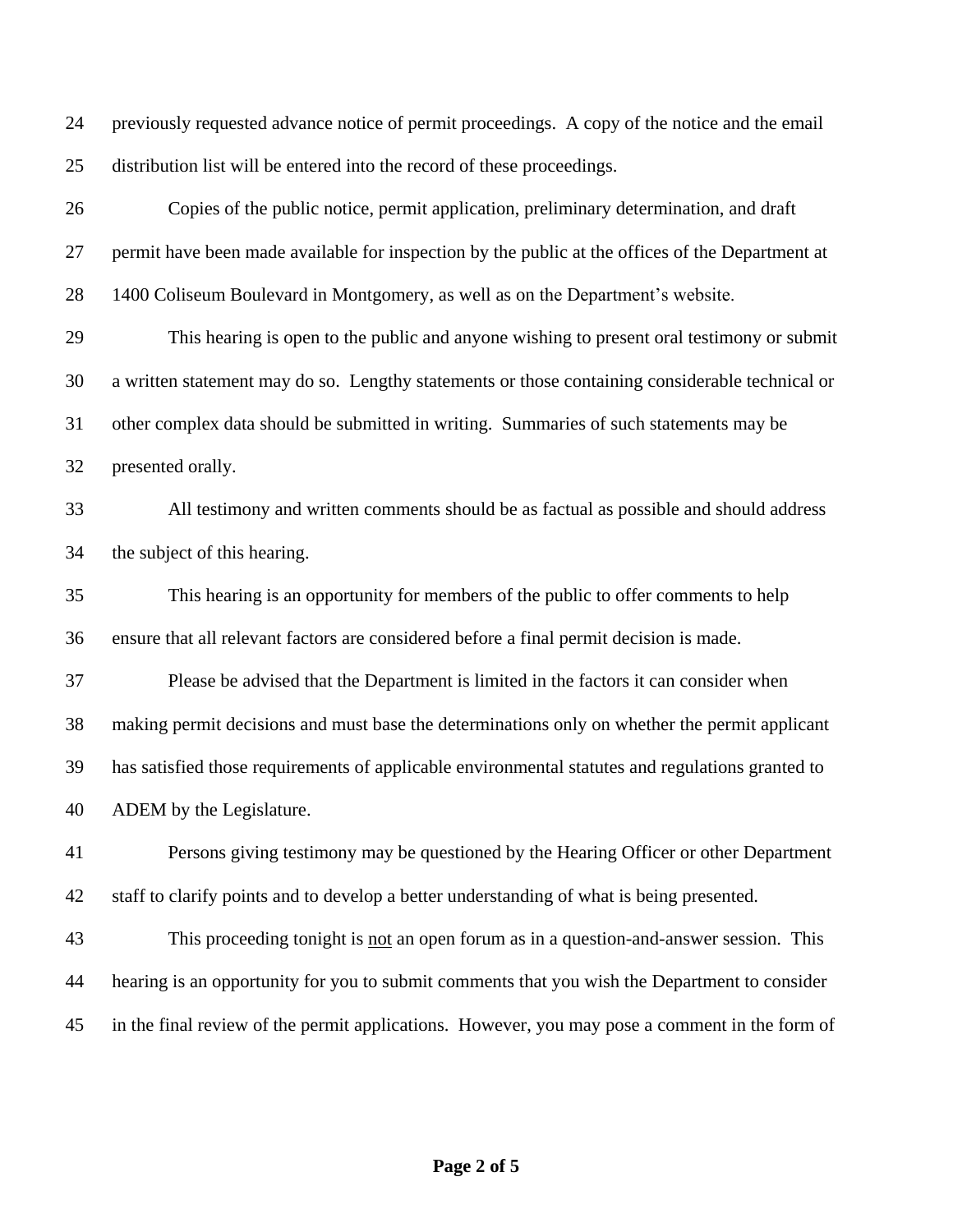previously requested advance notice of permit proceedings. A copy of the notice and the email distribution list will be entered into the record of these proceedings.

 Copies of the public notice, permit application, preliminary determination, and draft permit have been made available for inspection by the public at the offices of the Department at 1400 Coliseum Boulevard in Montgomery, as well as on the Department's website. This hearing is open to the public and anyone wishing to present oral testimony or submit a written statement may do so. Lengthy statements or those containing considerable technical or other complex data should be submitted in writing. Summaries of such statements may be presented orally. All testimony and written comments should be as factual as possible and should address the subject of this hearing. This hearing is an opportunity for members of the public to offer comments to help ensure that all relevant factors are considered before a final permit decision is made. Please be advised that the Department is limited in the factors it can consider when making permit decisions and must base the determinations only on whether the permit applicant has satisfied those requirements of applicable environmental statutes and regulations granted to ADEM by the Legislature.

 Persons giving testimony may be questioned by the Hearing Officer or other Department staff to clarify points and to develop a better understanding of what is being presented.

 This proceeding tonight is not an open forum as in a question-and-answer session. This hearing is an opportunity for you to submit comments that you wish the Department to consider in the final review of the permit applications. However, you may pose a comment in the form of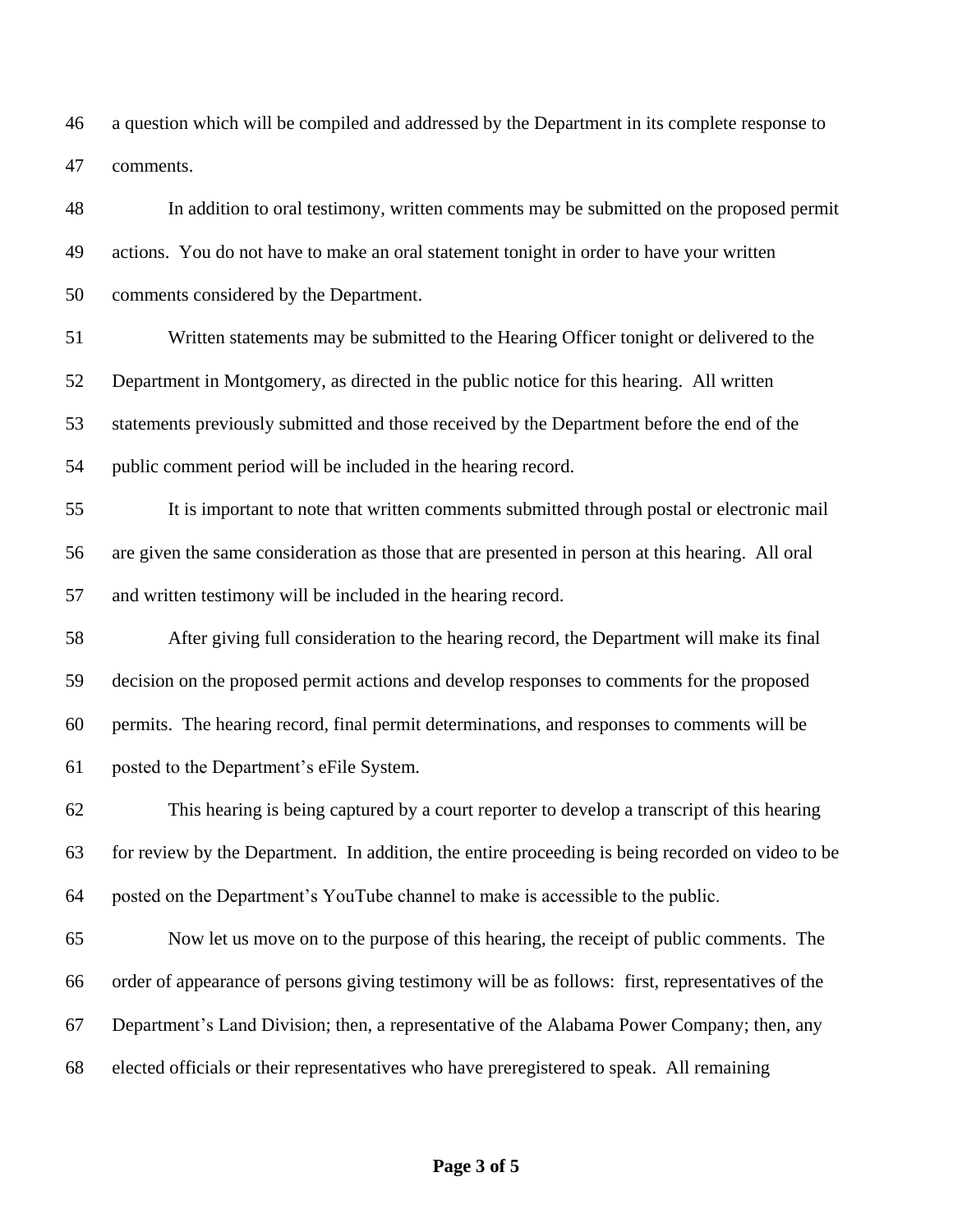a question which will be compiled and addressed by the Department in its complete response to comments.

 In addition to oral testimony, written comments may be submitted on the proposed permit actions. You do not have to make an oral statement tonight in order to have your written comments considered by the Department.

 Written statements may be submitted to the Hearing Officer tonight or delivered to the Department in Montgomery, as directed in the public notice for this hearing. All written statements previously submitted and those received by the Department before the end of the public comment period will be included in the hearing record.

 It is important to note that written comments submitted through postal or electronic mail are given the same consideration as those that are presented in person at this hearing. All oral and written testimony will be included in the hearing record.

 After giving full consideration to the hearing record, the Department will make its final decision on the proposed permit actions and develop responses to comments for the proposed permits. The hearing record, final permit determinations, and responses to comments will be posted to the Department's eFile System.

 This hearing is being captured by a court reporter to develop a transcript of this hearing for review by the Department. In addition, the entire proceeding is being recorded on video to be posted on the Department's YouTube channel to make is accessible to the public.

 Now let us move on to the purpose of this hearing, the receipt of public comments. The order of appearance of persons giving testimony will be as follows: first, representatives of the Department's Land Division; then, a representative of the Alabama Power Company; then, any elected officials or their representatives who have preregistered to speak. All remaining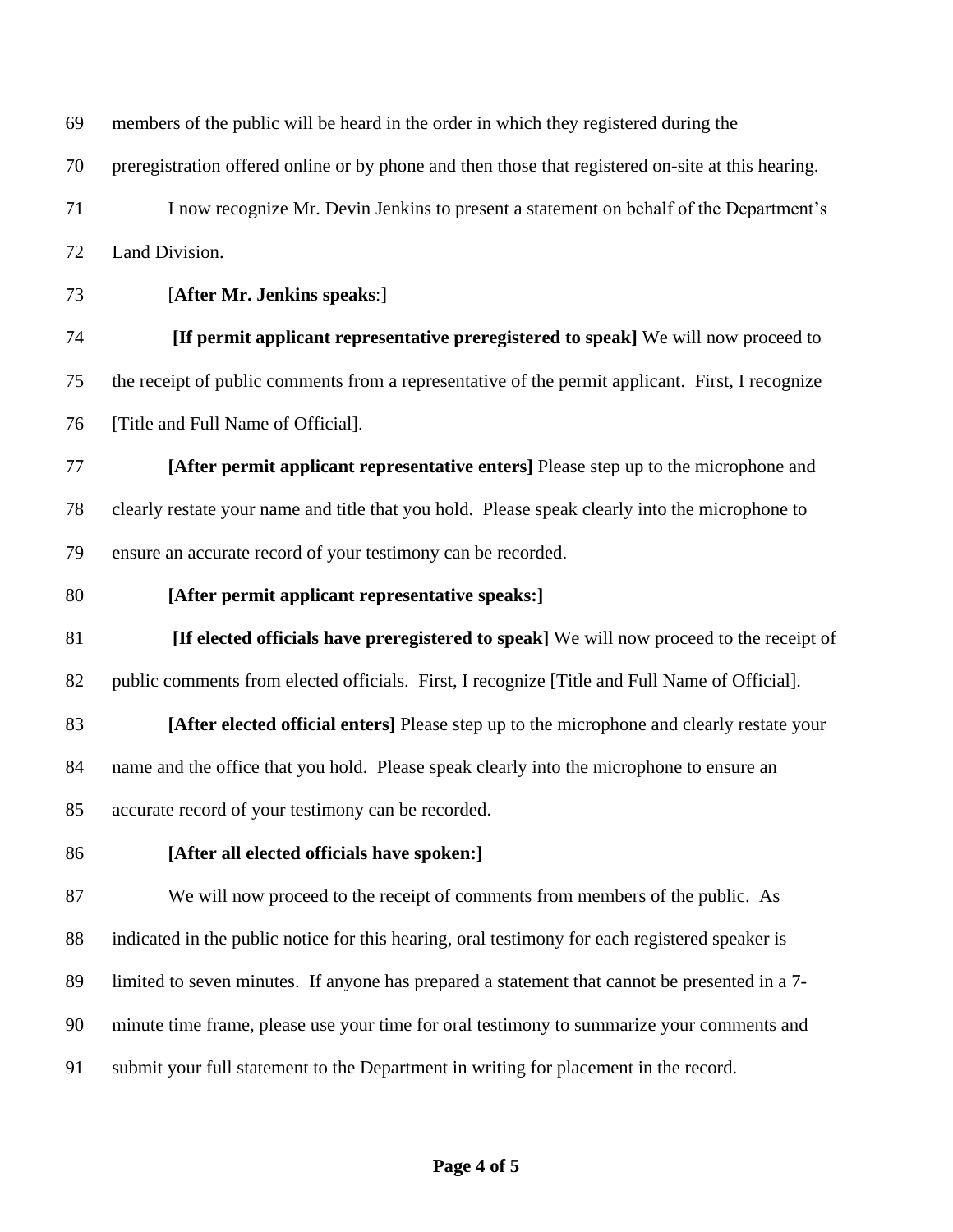members of the public will be heard in the order in which they registered during the

preregistration offered online or by phone and then those that registered on-site at this hearing.

 I now recognize Mr. Devin Jenkins to present a statement on behalf of the Department's Land Division.

[**After Mr. Jenkins speaks**:]

 **[If permit applicant representative preregistered to speak]** We will now proceed to the receipt of public comments from a representative of the permit applicant. First, I recognize 76 [Title and Full Name of Official].

 **[After permit applicant representative enters]** Please step up to the microphone and clearly restate your name and title that you hold. Please speak clearly into the microphone to ensure an accurate record of your testimony can be recorded.

**[After permit applicant representative speaks:]**

 **[If elected officials have preregistered to speak]** We will now proceed to the receipt of public comments from elected officials. First, I recognize [Title and Full Name of Official].

 **[After elected official enters]** Please step up to the microphone and clearly restate your name and the office that you hold. Please speak clearly into the microphone to ensure an accurate record of your testimony can be recorded.

**[After all elected officials have spoken:]**

We will now proceed to the receipt of comments from members of the public. As

indicated in the public notice for this hearing, oral testimony for each registered speaker is

limited to seven minutes. If anyone has prepared a statement that cannot be presented in a 7-

minute time frame, please use your time for oral testimony to summarize your comments and

submit your full statement to the Department in writing for placement in the record.